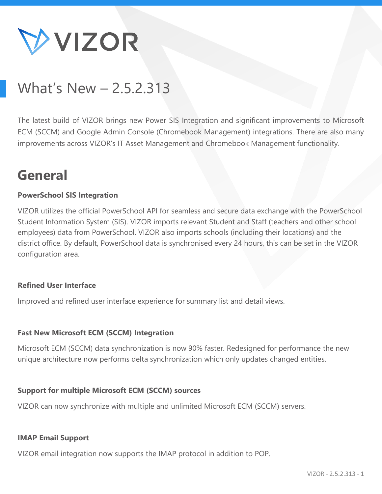

# What's New – 2.5.2.313

The latest build of VIZOR brings new Power SIS Integration and significant improvements to Microsoft ECM (SCCM) and Google Admin Console (Chromebook Management) integrations. There are also many improvements across VIZOR's IT Asset Management and Chromebook Management functionality.

## **General**

## **PowerSchool SIS Integration**

VIZOR utilizes the official PowerSchool API for seamless and secure data exchange with the PowerSchool Student Information System (SIS). VIZOR imports relevant Student and Staff (teachers and other school employees) data from PowerSchool. VIZOR also imports schools (including their locations) and the district office. By default, PowerSchool data is synchronised every 24 hours, this can be set in the VIZOR configuration area.

#### **Refined User Interface**

Improved and refined user interface experience for summary list and detail views.

#### **Fast New Microsoft ECM (SCCM) Integration**

Microsoft ECM (SCCM) data synchronization is now 90% faster. Redesigned for performance the new unique architecture now performs delta synchronization which only updates changed entities.

#### **Support for multiple Microsoft ECM (SCCM) sources**

VIZOR can now synchronize with multiple and unlimited Microsoft ECM (SCCM) servers.

#### **IMAP Email Support**

VIZOR email integration now supports the IMAP protocol in addition to POP.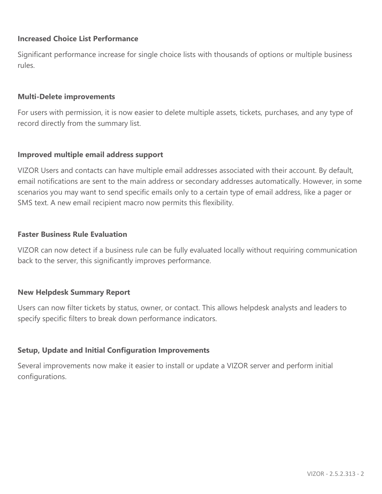## **Increased Choice List Performance**

Significant performance increase for single choice lists with thousands of options or multiple business rules.

#### **Multi-Delete improvements**

For users with permission, it is now easier to delete multiple assets, tickets, purchases, and any type of record directly from the summary list.

#### **Improved multiple email address support**

VIZOR Users and contacts can have multiple email addresses associated with their account. By default, email notifications are sent to the main address or secondary addresses automatically. However, in some scenarios you may want to send specific emails only to a certain type of email address, like a pager or SMS text. A new email recipient macro now permits this flexibility.

#### **Faster Business Rule Evaluation**

VIZOR can now detect if a business rule can be fully evaluated locally without requiring communication back to the server, this significantly improves performance.

#### **New Helpdesk Summary Report**

Users can now filter tickets by status, owner, or contact. This allows helpdesk analysts and leaders to specify specific filters to break down performance indicators.

#### **Setup, Update and Initial Configuration Improvements**

Several improvements now make it easier to install or update a VIZOR server and perform initial configurations.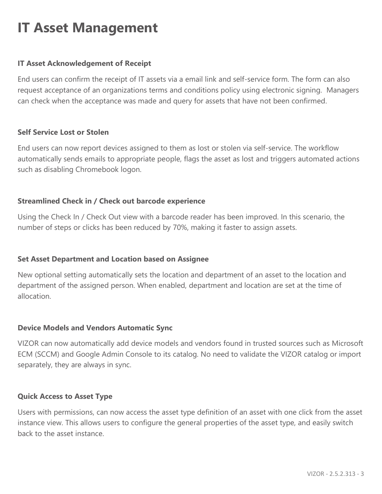## **IT Asset Management**

## **IT Asset Acknowledgement of Receipt**

End users can confirm the receipt of IT assets via a email link and self-service form. The form can also request acceptance of an organizations terms and conditions policy using electronic signing. Managers can check when the acceptance was made and query for assets that have not been confirmed.

#### **Self Service Lost or Stolen**

End users can now report devices assigned to them as lost or stolen via self-service. The workflow automatically sends emails to appropriate people, flags the asset as lost and triggers automated actions such as disabling Chromebook logon.

## **Streamlined Check in / Check out barcode experience**

Using the Check In / Check Out view with a barcode reader has been improved. In this scenario, the number of steps or clicks has been reduced by 70%, making it faster to assign assets.

## **Set Asset Department and Location based on Assignee**

New optional setting automatically sets the location and department of an asset to the location and department of the assigned person. When enabled, department and location are set at the time of allocation.

## **Device Models and Vendors Automatic Sync**

VIZOR can now automatically add device models and vendors found in trusted sources such as Microsoft ECM (SCCM) and Google Admin Console to its catalog. No need to validate the VIZOR catalog or import separately, they are always in sync.

#### **Quick Access to Asset Type**

Users with permissions, can now access the asset type definition of an asset with one click from the asset instance view. This allows users to configure the general properties of the asset type, and easily switch back to the asset instance.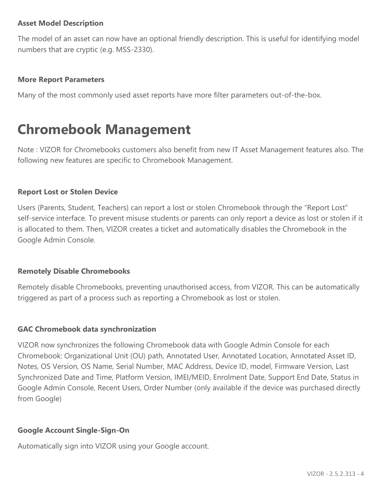## **Asset Model Description**

The model of an asset can now have an optional friendly description. This is useful for identifying model numbers that are cryptic (e.g. MSS-2330).

## **More Report Parameters**

Many of the most commonly used asset reports have more filter parameters out-of-the-box.

## **Chromebook Management**

Note : VIZOR for Chromebooks customers also benefit from new IT Asset Management features also. The following new features are specific to Chromebook Management.

## **Report Lost or Stolen Device**

Users (Parents, Student, Teachers) can report a lost or stolen Chromebook through the "Report Lost" self-service interface. To prevent misuse students or parents can only report a device as lost or stolen if it is allocated to them. Then, VIZOR creates a ticket and automatically disables the Chromebook in the Google Admin Console.

#### **Remotely Disable Chromebooks**

Remotely disable Chromebooks, preventing unauthorised access, from VIZOR. This can be automatically triggered as part of a process such as reporting a Chromebook as lost or stolen.

## **GAC Chromebook data synchronization**

VIZOR now synchronizes the following Chromebook data with Google Admin Console for each Chromebook: Organizational Unit (OU) path, Annotated User, Annotated Location, Annotated Asset ID, Notes, OS Version, OS Name, Serial Number, MAC Address, Device ID, model, Firmware Version, Last Synchronized Date and Time, Platform Version, IMEI/MEID, Enrolment Date, Support End Date, Status in Google Admin Console, Recent Users, Order Number (only available if the device was purchased directly from Google)

## **Google Account Single-Sign-On**

Automatically sign into VIZOR using your Google account.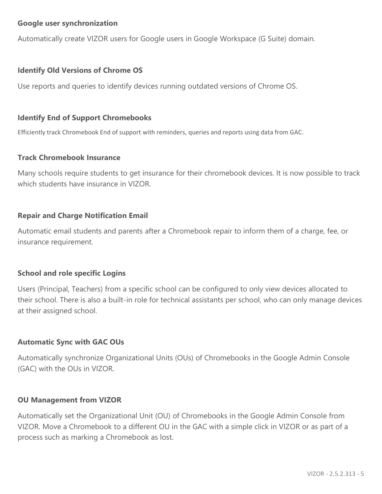## **Google user synchronization**

Automatically create VIZOR users for Google users in Google Workspace (G Suite) domain.

## **Identify Old Versions of Chrome OS**

Use reports and queries to identify devices running outdated versions of Chrome OS.

#### **Identify End of Support Chromebooks**

Efficiently track Chromebook End of support with reminders, queries and reports using data from GAC.

#### **Track Chromebook Insurance**

Many schools require students to get insurance for their chromebook devices. It is now possible to track which students have insurance in VIZOR.

## **Repair and Charge Notification Email**

Automatic email students and parents after a Chromebook repair to inform them of a charge, fee, or insurance requirement.

#### **School and role specific Logins**

Users (Principal, Teachers) from a specific school can be configured to only view devices allocated to their school. There is also a built-in role for technical assistants per school, who can only manage devices at their assigned school.

#### **Automatic Sync with GAC OUs**

Automatically synchronize Organizational Units (OUs) of Chromebooks in the Google Admin Console (GAC) with the OUs in VIZOR.

#### **OU Management from VIZOR**

Automatically set the Organizational Unit (OU) of Chromebooks in the Google Admin Console from VIZOR. Move a Chromebook to a different OU in the GAC with a simple click in VIZOR or as part of a process such as marking a Chromebook as lost.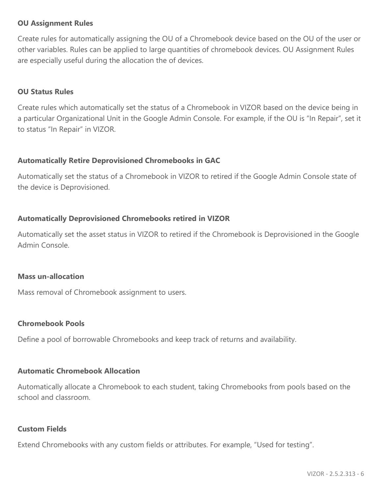## **OU Assignment Rules**

Create rules for automatically assigning the OU of a Chromebook device based on the OU of the user or other variables. Rules can be applied to large quantities of chromebook devices. OU Assignment Rules are especially useful during the allocation the of devices.

#### **OU Status Rules**

Create rules which automatically set the status of a Chromebook in VIZOR based on the device being in a particular Organizational Unit in the Google Admin Console. For example, if the OU is "In Repair", set it to status "In Repair" in VIZOR.

## **Automatically Retire Deprovisioned Chromebooks in GAC**

Automatically set the status of a Chromebook in VIZOR to retired if the Google Admin Console state of the device is Deprovisioned.

## **Automatically Deprovisioned Chromebooks retired in VIZOR**

Automatically set the asset status in VIZOR to retired if the Chromebook is Deprovisioned in the Google Admin Console.

#### **Mass un-allocation**

Mass removal of Chromebook assignment to users.

#### **Chromebook Pools**

Define a pool of borrowable Chromebooks and keep track of returns and availability.

#### **Automatic Chromebook Allocation**

Automatically allocate a Chromebook to each student, taking Chromebooks from pools based on the school and classroom.

#### **Custom Fields**

Extend Chromebooks with any custom fields or attributes. For example, "Used for testing".